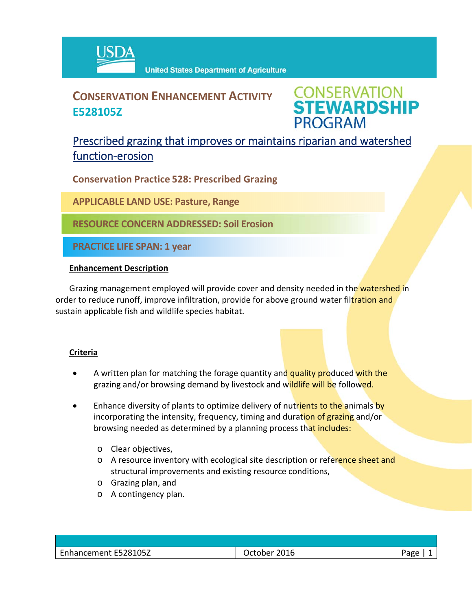

# **CONSERVATION ENHANCEMENT ACTIVITY E528105Z**

**CONSERVATION<br>STEWARDSHIP PROGRAM** 

## Prescribed grazing that improves or maintains riparian and watershed function‐erosion

**Conservation Practice 528: Prescribed Grazing**

**APPLICABLE LAND USE: Pasture, Range**

**RESOURCE CONCERN ADDRESSED: Soil Erosion**

**PRACTICE LIFE SPAN: 1 year**

### **Enhancement Description**

Grazing management employed will provide cover and density needed in the watershed in order to reduce runoff, improve infiltration, provide for above ground water filtration and sustain applicable fish and wildlife species habitat.

### **Criteria**

- A written plan for matching the forage quantity and quality produced with the grazing and/or browsing demand by livestock and wildlife will be followed.
- Enhance diversity of plants to optimize delivery of nutrients to the animals by incorporating the intensity, frequency, timing and duration of grazing and/or browsing needed as determined by a planning process that includes:
	- o Clear objectives,
	- o A resource inventory with ecological site description or reference sheet and structural improvements and existing resource conditions,
	- o Grazing plan, and
	- o A contingency plan.

| Enhancement E528105Z | 2016<br>October | 'age |
|----------------------|-----------------|------|